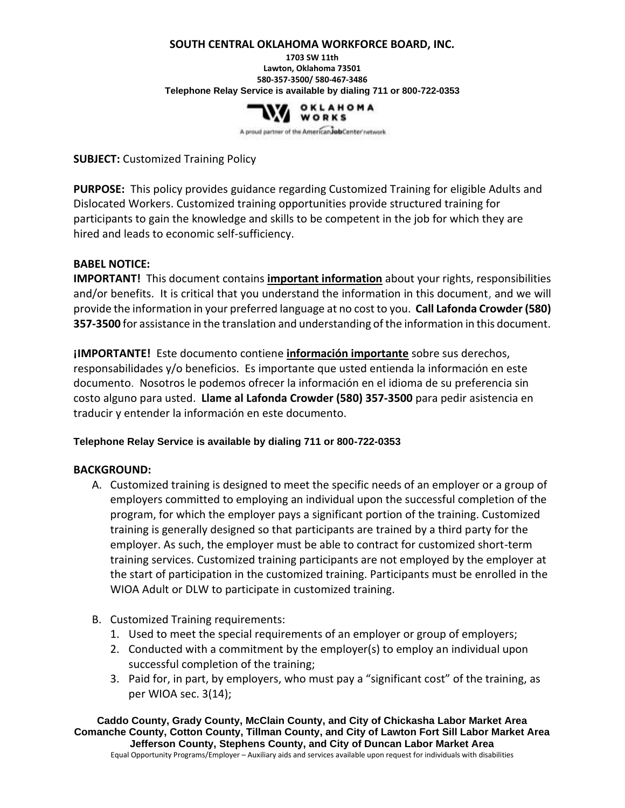#### **SOUTH CENTRAL OKLAHOMA WORKFORCE BOARD, INC.**

**1703 SW 11th Lawton, Oklahoma 73501 580-357-3500/ 580-467-3486 Telephone Relay Service is available by dialing 711 or 800-722-0353**



A proud partner of the American Job Center network

### **SUBJECT:** Customized Training Policy

**PURPOSE:** This policy provides guidance regarding Customized Training for eligible Adults and Dislocated Workers. Customized training opportunities provide structured training for participants to gain the knowledge and skills to be competent in the job for which they are hired and leads to economic self-sufficiency.

#### **BABEL NOTICE:**

**IMPORTANT!** This document contains **important information** about your rights, responsibilities and/or benefits. It is critical that you understand the information in this document, and we will provide the information in your preferred language at no cost to you. **Call Lafonda Crowder (580) 357-3500** for assistance in the translation and understanding of the information in this document.

**¡IMPORTANTE!** Este documento contiene **información importante** sobre sus derechos, responsabilidades y/o beneficios. Es importante que usted entienda la información en este documento. Nosotros le podemos ofrecer la información en el idioma de su preferencia sin costo alguno para usted. **Llame al Lafonda Crowder (580) 357-3500** para pedir asistencia en traducir y entender la información en este documento.

#### **Telephone Relay Service is available by dialing 711 or 800-722-0353**

#### **BACKGROUND:**

- A. Customized training is designed to meet the specific needs of an employer or a group of employers committed to employing an individual upon the successful completion of the program, for which the employer pays a significant portion of the training. Customized training is generally designed so that participants are trained by a third party for the employer. As such, the employer must be able to contract for customized short-term training services. Customized training participants are not employed by the employer at the start of participation in the customized training. Participants must be enrolled in the WIOA Adult or DLW to participate in customized training.
- B. Customized Training requirements:
	- 1. Used to meet the special requirements of an employer or group of employers;
	- 2. Conducted with a commitment by the employer(s) to employ an individual upon successful completion of the training;
	- 3. Paid for, in part, by employers, who must pay a "significant cost" of the training, as per WIOA sec. 3(14);

**Caddo County, Grady County, McClain County, and City of Chickasha Labor Market Area Comanche County, Cotton County, Tillman County, and City of Lawton Fort Sill Labor Market Area Jefferson County, Stephens County, and City of Duncan Labor Market Area** Equal Opportunity Programs/Employer – Auxiliary aids and services available upon request for individuals with disabilities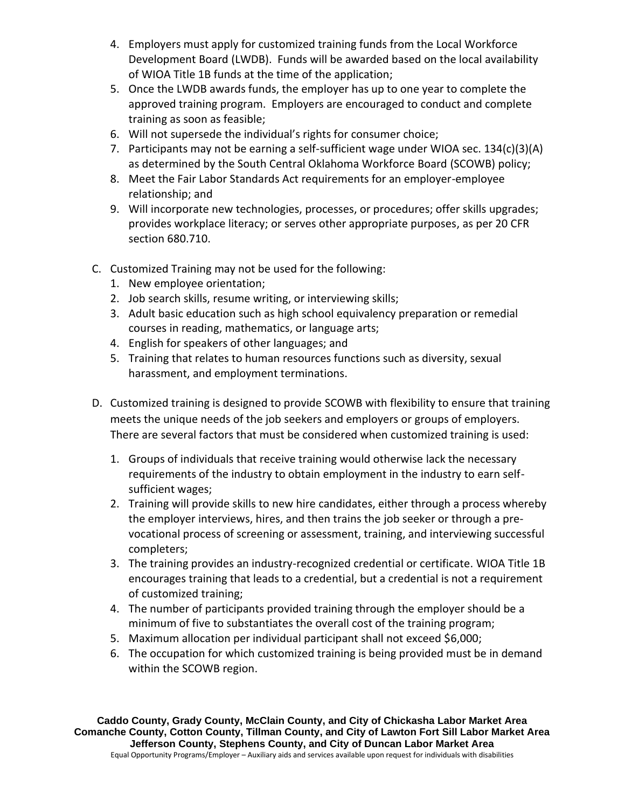- 4. Employers must apply for customized training funds from the Local Workforce Development Board (LWDB). Funds will be awarded based on the local availability of WIOA Title 1B funds at the time of the application;
- 5. Once the LWDB awards funds, the employer has up to one year to complete the approved training program. Employers are encouraged to conduct and complete training as soon as feasible;
- 6. Will not supersede the individual's rights for consumer choice;
- 7. Participants may not be earning a self-sufficient wage under WIOA sec. 134(c)(3)(A) as determined by the South Central Oklahoma Workforce Board (SCOWB) policy;
- 8. Meet the Fair Labor Standards Act requirements for an employer-employee relationship; and
- 9. Will incorporate new technologies, processes, or procedures; offer skills upgrades; provides workplace literacy; or serves other appropriate purposes, as per 20 CFR section 680.710.
- C. Customized Training may not be used for the following:
	- 1. New employee orientation;
	- 2. Job search skills, resume writing, or interviewing skills;
	- 3. Adult basic education such as high school equivalency preparation or remedial courses in reading, mathematics, or language arts;
	- 4. English for speakers of other languages; and
	- 5. Training that relates to human resources functions such as diversity, sexual harassment, and employment terminations.
- D. Customized training is designed to provide SCOWB with flexibility to ensure that training meets the unique needs of the job seekers and employers or groups of employers. There are several factors that must be considered when customized training is used:
	- 1. Groups of individuals that receive training would otherwise lack the necessary requirements of the industry to obtain employment in the industry to earn selfsufficient wages;
	- 2. Training will provide skills to new hire candidates, either through a process whereby the employer interviews, hires, and then trains the job seeker or through a prevocational process of screening or assessment, training, and interviewing successful completers;
	- 3. The training provides an industry-recognized credential or certificate. WIOA Title 1B encourages training that leads to a credential, but a credential is not a requirement of customized training;
	- 4. The number of participants provided training through the employer should be a minimum of five to substantiates the overall cost of the training program;
	- 5. Maximum allocation per individual participant shall not exceed \$6,000;
	- 6. The occupation for which customized training is being provided must be in demand within the SCOWB region.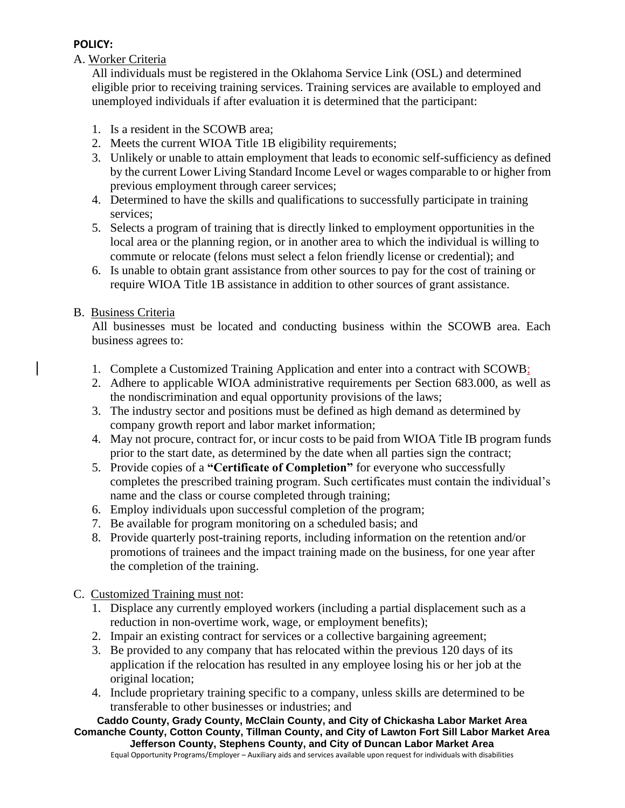# **POLICY:**

# A. Worker Criteria

All individuals must be registered in the Oklahoma Service Link (OSL) and determined eligible prior to receiving training services. Training services are available to employed and unemployed individuals if after evaluation it is determined that the participant:

- 1. Is a resident in the SCOWB area;
- 2. Meets the current WIOA Title 1B eligibility requirements;
- 3. Unlikely or unable to attain employment that leads to economic self-sufficiency as defined by the current Lower Living Standard Income Level or wages comparable to or higher from previous employment through career services;
- 4. Determined to have the skills and qualifications to successfully participate in training services;
- 5. Selects a program of training that is directly linked to employment opportunities in the local area or the planning region, or in another area to which the individual is willing to commute or relocate (felons must select a felon friendly license or credential); and
- 6. Is unable to obtain grant assistance from other sources to pay for the cost of training or require WIOA Title 1B assistance in addition to other sources of grant assistance.

## B. Business Criteria

All businesses must be located and conducting business within the SCOWB area. Each business agrees to:

- 1. Complete a Customized Training Application and enter into a contract with SCOWB;
- 2. Adhere to applicable WIOA administrative requirements per Section 683.000, as well as the nondiscrimination and equal opportunity provisions of the laws;
- 3. The industry sector and positions must be defined as high demand as determined by company growth report and labor market information;
- 4. May not procure, contract for, or incur costs to be paid from WIOA Title IB program funds prior to the start date, as determined by the date when all parties sign the contract;
- 5. Provide copies of a **"Certificate of Completion"** for everyone who successfully completes the prescribed training program. Such certificates must contain the individual's name and the class or course completed through training;
- 6. Employ individuals upon successful completion of the program;
- 7. Be available for program monitoring on a scheduled basis; and
- 8. Provide quarterly post-training reports, including information on the retention and/or promotions of trainees and the impact training made on the business, for one year after the completion of the training.

## C. Customized Training must not:

- 1. Displace any currently employed workers (including a partial displacement such as a reduction in non-overtime work, wage, or employment benefits);
- 2. Impair an existing contract for services or a collective bargaining agreement;
- 3. Be provided to any company that has relocated within the previous 120 days of its application if the relocation has resulted in any employee losing his or her job at the original location;
- 4. Include proprietary training specific to a company, unless skills are determined to be transferable to other businesses or industries; and

**Caddo County, Grady County, McClain County, and City of Chickasha Labor Market Area Comanche County, Cotton County, Tillman County, and City of Lawton Fort Sill Labor Market Area Jefferson County, Stephens County, and City of Duncan Labor Market Area**

Equal Opportunity Programs/Employer – Auxiliary aids and services available upon request for individuals with disabilities